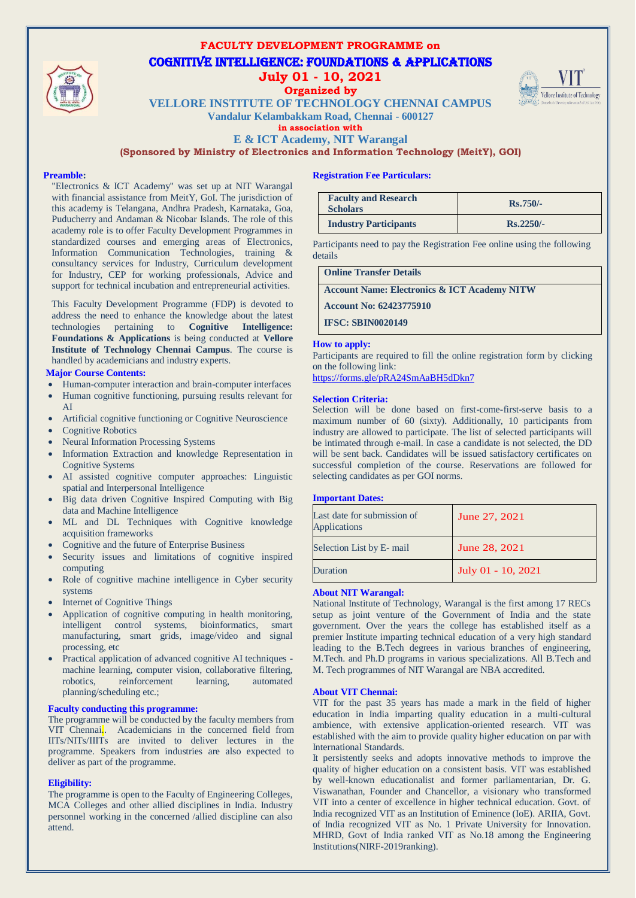

## **FACULTY DEVELOPMENT PROGRAMME on**  Cognitive Intelligence: Foundations & Applications **July 01 - 10, 2021**

### **Organized by**



**VELLORE INSTITUTE OF TECHNOLOGY CHENNAI CAMPUS**

**Vandalur Kelambakkam Road, Chennai - 600127 in association with**

**E & ICT Academy, NIT Warangal**

**(Sponsored by Ministry of Electronics and Information Technology (MeitY), GOI)**

#### **Preamble:**

"Electronics & ICT Academy" was set up at NIT Warangal with financial assistance from MeitY, GoI. The jurisdiction of this academy is Telangana, Andhra Pradesh, Karnataka, Goa, Puducherry and Andaman & Nicobar Islands. The role of this academy role is to offer Faculty Development Programmes in standardized courses and emerging areas of Electronics, Information Communication Technologies, training & consultancy services for Industry, Curriculum development for Industry, CEP for working professionals, Advice and support for technical incubation and entrepreneurial activities.

This Faculty Development Programme (FDP) is devoted to address the need to enhance the knowledge about the latest technologies pertaining to **Cognitive Intelligence: Foundations & Applications** is being conducted at **Vellore Institute of Technology Chennai Campus**. The course is handled by academicians and industry experts.

### **Major Course Contents:**

- Human-computer interaction and brain-computer interfaces
- Human cognitive functioning, pursuing results relevant for AI
- Artificial cognitive functioning or Cognitive Neuroscience
- Cognitive Robotics
- Neural Information Processing Systems
- Information Extraction and knowledge Representation in Cognitive Systems
- AI assisted cognitive computer approaches: Linguistic spatial and Interpersonal Intelligence
- Big data driven Cognitive Inspired Computing with Big data and Machine Intelligence
- ML and DL Techniques with Cognitive knowledge acquisition frameworks
- Cognitive and the future of Enterprise Business
- Security issues and limitations of cognitive inspired computing
- Role of cognitive machine intelligence in Cyber security systems
- Internet of Cognitive Things
- Application of cognitive computing in health monitoring, intelligent control systems, bioinformatics, smart manufacturing, smart grids, image/video and signal processing, etc
- Practical application of advanced cognitive AI techniques machine learning, computer vision, collaborative filtering, robotics, reinforcement learning, automated planning/scheduling etc.;

#### **Faculty conducting this programme:**

The programme will be conducted by the faculty members from VIT Chennai. Academicians in the concerned field from IITs/NITs/IIITs are invited to deliver lectures in the programme. Speakers from industries are also expected to deliver as part of the programme.

#### **Eligibility:**

The programme is open to the Faculty of Engineering Colleges, MCA Colleges and other allied disciplines in India. Industry personnel working in the concerned /allied discipline can also attend.

#### **Registration Fee Particulars:**

| <b>Faculty and Research</b><br><b>Scholars</b> | $Rs.750/-$  |
|------------------------------------------------|-------------|
| <b>Industry Participants</b>                   | $Rs.2250/-$ |

Participants need to pay the Registration Fee online using the following details

#### **Online Transfer Details**

**Account Name: Electronics & ICT Academy NITW** 

**Account No: 62423775910** 

**IFSC: SBIN0020149**

#### **How to apply:**

Participants are required to fill the online registration form by clicking on the following link:

<https://forms.gle/pRA24SmAaBH5dDkn7>

#### **Selection Criteria:**

Selection will be done based on first-come-first-serve basis to a maximum number of 60 (sixty). Additionally, 10 participants from industry are allowed to participate. The list of selected participants will be intimated through e-mail. In case a candidate is not selected, the DD will be sent back. Candidates will be issued satisfactory certificates on successful completion of the course. Reservations are followed for selecting candidates as per GOI norms.

#### **Important Dates:**

| Last date for submission of<br><b>Applications</b> | June 27, 2021      |
|----------------------------------------------------|--------------------|
| Selection List by E-mail                           | June 28, 2021      |
| Duration                                           | July 01 - 10, 2021 |

#### **About NIT Warangal:**

National Institute of Technology, Warangal is the first among 17 RECs setup as joint venture of the Government of India and the state government. Over the years the college has established itself as a premier Institute imparting technical education of a very high standard leading to the B.Tech degrees in various branches of engineering, M.Tech. and Ph.D programs in various specializations. All B.Tech and M. Tech programmes of NIT Warangal are NBA accredited.

#### **About VIT Chennai:**

VIT for the past 35 years has made a mark in the field of higher education in India imparting quality education in a multi-cultural ambience, with extensive application-oriented research. VIT was established with the aim to provide quality higher education on par with International Standards.

It persistently seeks and adopts innovative methods to improve the quality of higher education on a consistent basis. VIT was established by well-known educationalist and former parliamentarian, Dr. G. Viswanathan, Founder and Chancellor, a visionary who transformed VIT into a center of excellence in higher technical education. Govt. of India recognized VIT as an Institution of Eminence (IoE). ARIIA, Govt. of India recognized VIT as No. 1 Private University for Innovation. MHRD, Govt of India ranked VIT as No.18 among the Engineering Institutions(NIRF-2019ranking).